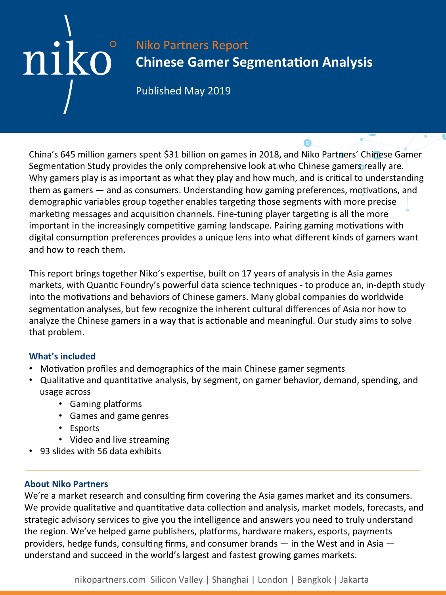# Niko Partners Report **Chinese Gamer Segmentation Analysis**

Published May 2019

China's 645 million gamers spent \$31 billion on games in 2018, and Niko Partners' Chinese Gamer Segmentation Study provides the only comprehensive look at who Chinese gamers really are. Why gamers play is as important as what they play and how much, and is critical to understanding them as gamers  $-$  and as consumers. Understanding how gaming preferences, motivations, and demographic variables group together enables targeting those segments with more precise marketing messages and acquisition channels. Fine-tuning player targeting is all the more important in the increasingly competitive gaming landscape. Pairing gaming motivations with digital consumption preferences provides a unique lens into what different kinds of gamers want and how to reach them.

This report brings together Niko's expertise, built on 17 years of analysis in the Asia games markets, with Quantic Foundry's powerful data science techniques - to produce an, in-depth study into the motivations and behaviors of Chinese gamers. Many global companies do worldwide segmentation analyses, but few recognize the inherent cultural differences of Asia nor how to analyze the Chinese gamers in a way that is actionable and meaningful. Our study aims to solve that problem.

## **What's included**

niko

- Motivation profiles and demographics of the main Chinese gamer segments
- Qualitative and quantitative analysis, by segment, on gamer behavior, demand, spending, and usage across
	- Gaming platforms
	- Games and game genres
	- Esports
	- Video and live streaming
- 93 slides with 56 data exhibits

## **About Niko Partners**

We're a market research and consulting firm covering the Asia games market and its consumers. We provide qualitative and quantitative data collection and analysis, market models, forecasts, and strategic advisory services to give you the intelligence and answers you need to truly understand the region. We've helped game publishers, platforms, hardware makers, esports, payments providers, hedge funds, consulting firms, and consumer brands  $-$  in the West and in Asia  $$ understand and succeed in the world's largest and fastest growing games markets.